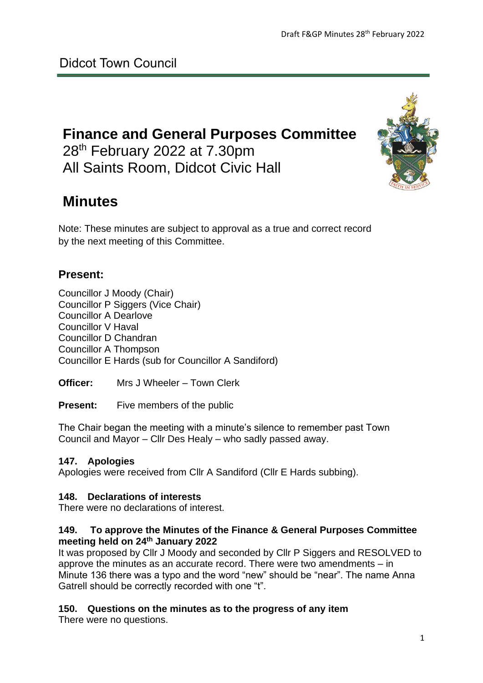# **Finance and General Purposes Committee** 28<sup>th</sup> February 2022 at 7.30pm All Saints Room, Didcot Civic Hall

# **Minutes**

Note: These minutes are subject to approval as a true and correct record by the next meeting of this Committee.

# **Present:**

Councillor J Moody (Chair) Councillor P Siggers (Vice Chair) Councillor A Dearlove Councillor V Haval Councillor D Chandran Councillor A Thompson Councillor E Hards (sub for Councillor A Sandiford)

**Officer:** Mrs J Wheeler – Town Clerk

**Present:** Five members of the public

The Chair began the meeting with a minute's silence to remember past Town Council and Mayor – Cllr Des Healy – who sadly passed away.

# **147. Apologies**

Apologies were received from Cllr A Sandiford (Cllr E Hards subbing).

# **148. Declarations of interests**

There were no declarations of interest.

## **149. To approve the Minutes of the Finance & General Purposes Committee meeting held on 24th January 2022**

It was proposed by Cllr J Moody and seconded by Cllr P Siggers and RESOLVED to approve the minutes as an accurate record. There were two amendments – in Minute 136 there was a typo and the word "new" should be "near". The name Anna Gatrell should be correctly recorded with one "t".

# **150. Questions on the minutes as to the progress of any item**

There were no questions.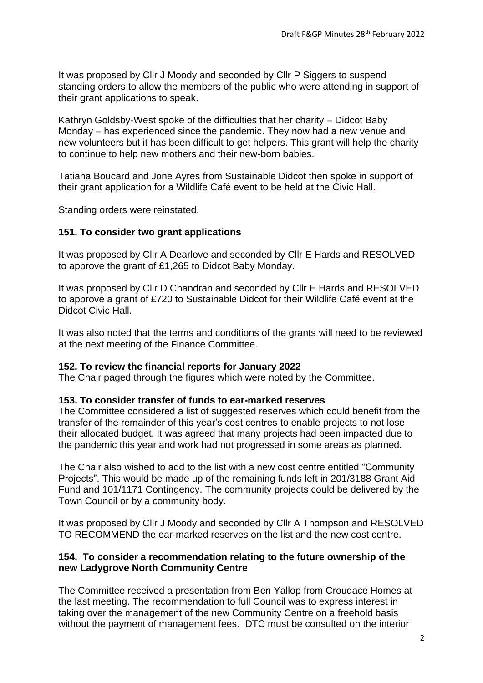It was proposed by Cllr J Moody and seconded by Cllr P Siggers to suspend standing orders to allow the members of the public who were attending in support of their grant applications to speak.

Kathryn Goldsby-West spoke of the difficulties that her charity – Didcot Baby Monday – has experienced since the pandemic. They now had a new venue and new volunteers but it has been difficult to get helpers. This grant will help the charity to continue to help new mothers and their new-born babies.

Tatiana Boucard and Jone Ayres from Sustainable Didcot then spoke in support of their grant application for a Wildlife Café event to be held at the Civic Hall.

Standing orders were reinstated.

### **151. To consider two grant applications**

It was proposed by Cllr A Dearlove and seconded by Cllr E Hards and RESOLVED to approve the grant of £1,265 to Didcot Baby Monday.

It was proposed by Cllr D Chandran and seconded by Cllr E Hards and RESOLVED to approve a grant of £720 to Sustainable Didcot for their Wildlife Café event at the Didcot Civic Hall.

It was also noted that the terms and conditions of the grants will need to be reviewed at the next meeting of the Finance Committee.

### **152. To review the financial reports for January 2022**

The Chair paged through the figures which were noted by the Committee.

#### **153. To consider transfer of funds to ear-marked reserves**

The Committee considered a list of suggested reserves which could benefit from the transfer of the remainder of this year's cost centres to enable projects to not lose their allocated budget. It was agreed that many projects had been impacted due to the pandemic this year and work had not progressed in some areas as planned.

The Chair also wished to add to the list with a new cost centre entitled "Community Projects". This would be made up of the remaining funds left in 201/3188 Grant Aid Fund and 101/1171 Contingency. The community projects could be delivered by the Town Council or by a community body.

It was proposed by Cllr J Moody and seconded by Cllr A Thompson and RESOLVED TO RECOMMEND the ear-marked reserves on the list and the new cost centre.

### **154. To consider a recommendation relating to the future ownership of the new Ladygrove North Community Centre**

The Committee received a presentation from Ben Yallop from Croudace Homes at the last meeting. The recommendation to full Council was to express interest in taking over the management of the new Community Centre on a freehold basis without the payment of management fees. DTC must be consulted on the interior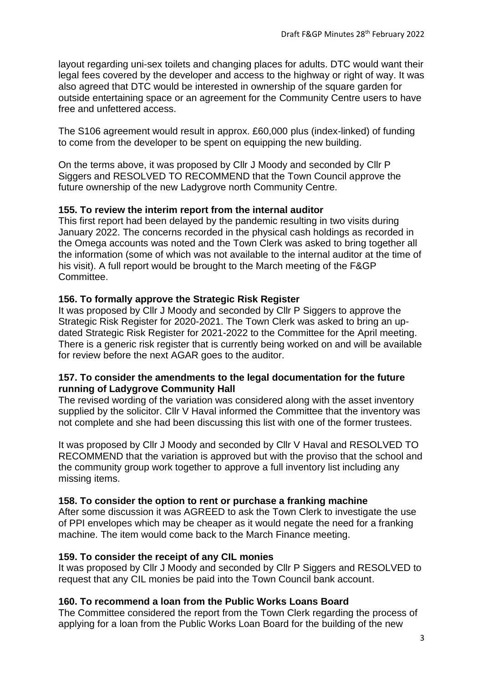layout regarding uni-sex toilets and changing places for adults. DTC would want their legal fees covered by the developer and access to the highway or right of way. It was also agreed that DTC would be interested in ownership of the square garden for outside entertaining space or an agreement for the Community Centre users to have free and unfettered access.

The S106 agreement would result in approx. £60,000 plus (index-linked) of funding to come from the developer to be spent on equipping the new building.

On the terms above, it was proposed by Cllr J Moody and seconded by Cllr P Siggers and RESOLVED TO RECOMMEND that the Town Council approve the future ownership of the new Ladygrove north Community Centre.

# **155. To review the interim report from the internal auditor**

This first report had been delayed by the pandemic resulting in two visits during January 2022. The concerns recorded in the physical cash holdings as recorded in the Omega accounts was noted and the Town Clerk was asked to bring together all the information (some of which was not available to the internal auditor at the time of his visit). A full report would be brought to the March meeting of the F&GP Committee.

## **156. To formally approve the Strategic Risk Register**

It was proposed by Cllr J Moody and seconded by Cllr P Siggers to approve the Strategic Risk Register for 2020-2021. The Town Clerk was asked to bring an updated Strategic Risk Register for 2021-2022 to the Committee for the April meeting. There is a generic risk register that is currently being worked on and will be available for review before the next AGAR goes to the auditor.

### **157. To consider the amendments to the legal documentation for the future running of Ladygrove Community Hall**

The revised wording of the variation was considered along with the asset inventory supplied by the solicitor. Cllr V Haval informed the Committee that the inventory was not complete and she had been discussing this list with one of the former trustees.

It was proposed by Cllr J Moody and seconded by Cllr V Haval and RESOLVED TO RECOMMEND that the variation is approved but with the proviso that the school and the community group work together to approve a full inventory list including any missing items.

# **158. To consider the option to rent or purchase a franking machine**

After some discussion it was AGREED to ask the Town Clerk to investigate the use of PPI envelopes which may be cheaper as it would negate the need for a franking machine. The item would come back to the March Finance meeting.

# **159. To consider the receipt of any CIL monies**

It was proposed by Cllr J Moody and seconded by Cllr P Siggers and RESOLVED to request that any CIL monies be paid into the Town Council bank account.

# **160. To recommend a loan from the Public Works Loans Board**

The Committee considered the report from the Town Clerk regarding the process of applying for a loan from the Public Works Loan Board for the building of the new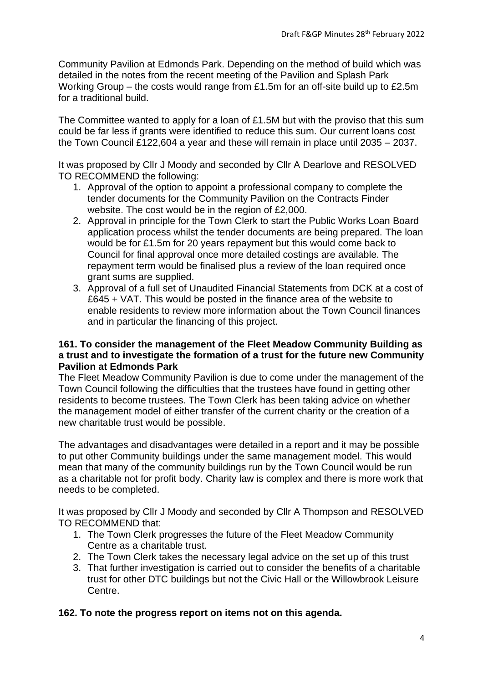Community Pavilion at Edmonds Park. Depending on the method of build which was detailed in the notes from the recent meeting of the Pavilion and Splash Park Working Group – the costs would range from £1.5m for an off-site build up to £2.5m for a traditional build.

The Committee wanted to apply for a loan of £1.5M but with the proviso that this sum could be far less if grants were identified to reduce this sum. Our current loans cost the Town Council £122,604 a year and these will remain in place until 2035 – 2037.

It was proposed by Cllr J Moody and seconded by Cllr A Dearlove and RESOLVED TO RECOMMEND the following:

- 1. Approval of the option to appoint a professional company to complete the tender documents for the Community Pavilion on the Contracts Finder website. The cost would be in the region of £2,000.
- 2. Approval in principle for the Town Clerk to start the Public Works Loan Board application process whilst the tender documents are being prepared. The loan would be for £1.5m for 20 years repayment but this would come back to Council for final approval once more detailed costings are available. The repayment term would be finalised plus a review of the loan required once grant sums are supplied.
- 3. Approval of a full set of Unaudited Financial Statements from DCK at a cost of £645 + VAT. This would be posted in the finance area of the website to enable residents to review more information about the Town Council finances and in particular the financing of this project.

### **161. To consider the management of the Fleet Meadow Community Building as a trust and to investigate the formation of a trust for the future new Community Pavilion at Edmonds Park**

The Fleet Meadow Community Pavilion is due to come under the management of the Town Council following the difficulties that the trustees have found in getting other residents to become trustees. The Town Clerk has been taking advice on whether the management model of either transfer of the current charity or the creation of a new charitable trust would be possible.

The advantages and disadvantages were detailed in a report and it may be possible to put other Community buildings under the same management model. This would mean that many of the community buildings run by the Town Council would be run as a charitable not for profit body. Charity law is complex and there is more work that needs to be completed.

It was proposed by Cllr J Moody and seconded by Cllr A Thompson and RESOLVED TO RECOMMEND that:

- 1. The Town Clerk progresses the future of the Fleet Meadow Community Centre as a charitable trust.
- 2. The Town Clerk takes the necessary legal advice on the set up of this trust
- 3. That further investigation is carried out to consider the benefits of a charitable trust for other DTC buildings but not the Civic Hall or the Willowbrook Leisure Centre.

### **162. To note the progress report on items not on this agenda.**